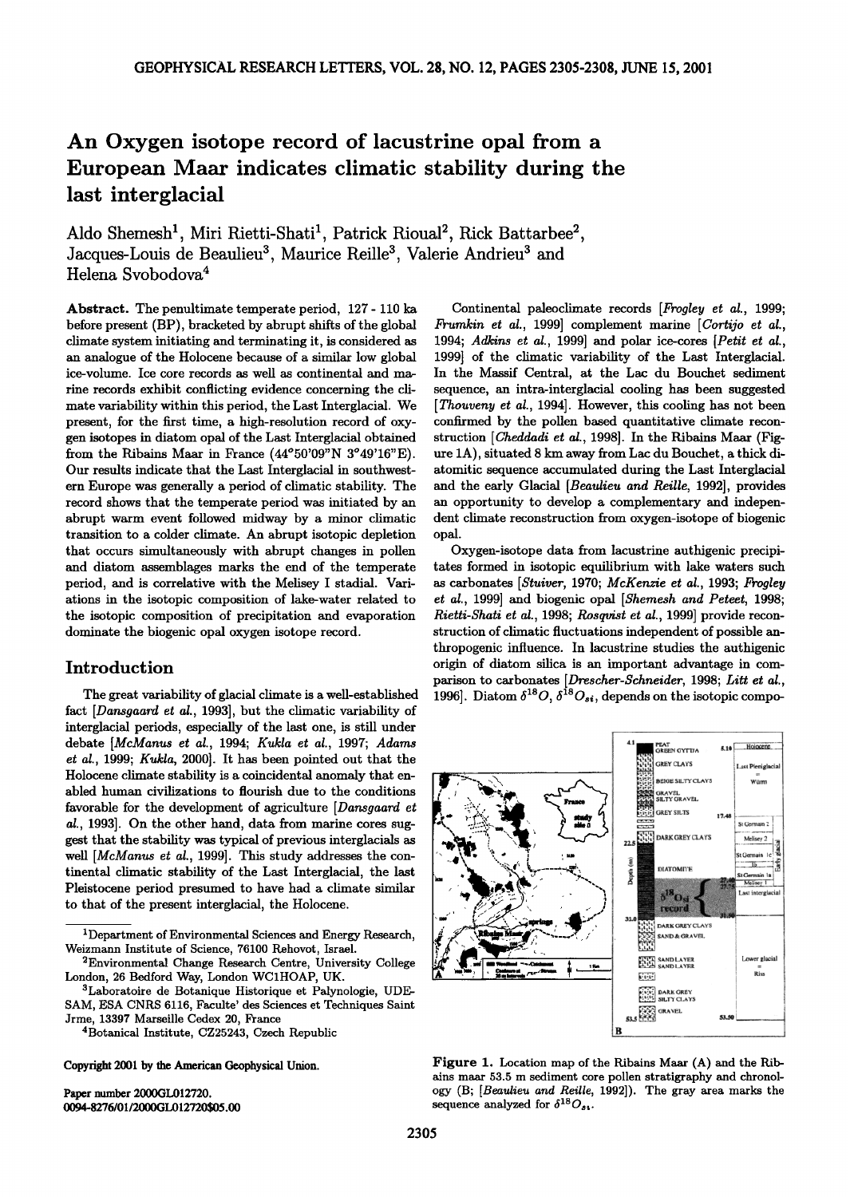# **An Oxygen isotope record of lacustrine opal from a European Maar indicates climatic stability during the last interglacial**

Aldo Shemesh<sup>1</sup>, Miri Rietti-Shati<sup>1</sup>, Patrick Rioual<sup>2</sup>, Rick Battarbee<sup>2</sup>, Jacques-Louis de Beaulieu<sup>3</sup>, Maurice Reille<sup>3</sup>, Valerie Andrieu<sup>3</sup> and **Helena Svobodova 4** 

**Abstract. The penultimate temperate period, 127- 110 ka before present (BP), bracketed by abrupt shifts of the global climate system initiating and terminating it, is considered as an analogue of the Holocene because of a similar low global ice-volume. Ice core records as well as continental and marine records exhibit conflicting evidence concerning the climate variability within this period, the Last Interglacial. We present, for the first time, a high-resolution record of oxygen isotopes in diatom opal of the Last Interglacial obtained from the Ribains Maar in France (44ø50'09"N 3ø49'16"E). Our results indicate that the Last Interglacial in southwestern Europe was generally a period of climatic stability. The record shows that the temperate period was initiated by an abrupt warm event followed midway by a minor climatic transition to a colder climate. An abrupt isotopic depletion that occurs simultaneously with abrupt changes in pollen and diatom assemblages marks the end of the temperate period, and is correlative with the Melisey I stadial. Variations in the isotopic composition of lake-water related to the isotopic composition of precipitation and evaporation dominate the biogenic opal oxygen isotope record.** 

# **Introduction**

**The great variability of glacial climate is a well-established fact [Dansgaard et at., 1993], but the climatic variability of interglacial periods, especially of the last one, is still under**  debate [McManus et al., 1994; Kukla et al., 1997; Adams **et at., 1999; Kukta, 2000]. It has been pointed out that the Holocene climate stability is a coincidental anomaly that enabled human civilizations to flourish due to the conditions favorable for the development of agriculture [Dansgaard et at., 1993]. On the other hand, data from marine cores suggest that the stability was typical of previous interglacials as**  well [McManus et al., 1999]. This study addresses the con**tinental climatic stability of the Last Interglacial, the last Pleistocene period presumed to have had a climate similar to that of the present interglacial, the Holocene.** 

**Copyright 2001 by the American Geophysical Union.** 

**Paper number 2000GL012720. 0094-8276/01/2000GL012720505.00** 

Continental paleoclimate records [*Frogley et al., 1999*; **Frumkin et at., 1999] complement marine [Cortijo et at., 1994; Adkins et at., 1999] and polar ice-cores [Petit et at., 1999] of the climatic variability of the Last Interglacial. In the Massif Central, at the Lac du Bouchet sediment sequence, an intra-interglacial cooling has been suggested [Thouveny et al., 1994]. However, this cooling has not been confirmed by the pollen based quantitative climate reconstruction [Cheddadi et al., 1998]. In the Ribains Maar (Figure 1A), situated 8 km away from Lac du Bouchet, a thick diatomitic sequence accumulated during the Last Interglacial and the early Glacial [Beautieu and Reitte, 1992], provides an opportunity to develop a complementary and independent climate reconstruction from oxygen-isotope of biogenic opal.** 

**Oxygen-isotope data from lacustrine authigenic precipitates formed in isotopic equilibrium with lake waters such as carbonates [Stuiver, 1970; McKenzie et at., 1993; Frogtey et at., 1999] and biogenic opal [Shemesh and Peteet, 1998; Rietti-Shati et at., 1998; Rosqvist et at., 1999] provide reconstruction of climatic fluctuations independent of possible anthropogenic influence. In lacustrine studies the authigenic origin of diatom silica is an important advantage in comparison to carbonates** [*Drescher-Schneider*, 1998; *Litt et al.*, 1996]. Diatom  $\delta^{1\circ}O, \delta^{1\circ}O_{si},$  depends on the isotopic compo-



**Figure 1. Location map of the Ribains Maar (A) and the Ribains maar 53.5 m sediment core pollen stratigraphy and chronology (B; [Beaulieu and Reille, 1992]). The gray area marks the**  sequence analyzed for  $\delta^{18}O_{st}$ .

**<sup>1</sup>Department of Environmental Sciences and Energy Research, Weizmann Institute of Science, 76100 Rehovot, Israel.** 

**<sup>2</sup>Environmental Change Research Centre, University College London, 26 Bedford Way, London WCiHOAP, UK.** 

**<sup>3</sup>Laboratoire de Botanique Historique et Palynologie, UDE-SAM, ESA CNRS 6116, Faculte' des Sciences et Techniques Saint** 

**Jrme, 13397 Marseille Cedex 20, France 4Botanical Institute, CZ25243, Czech Republic**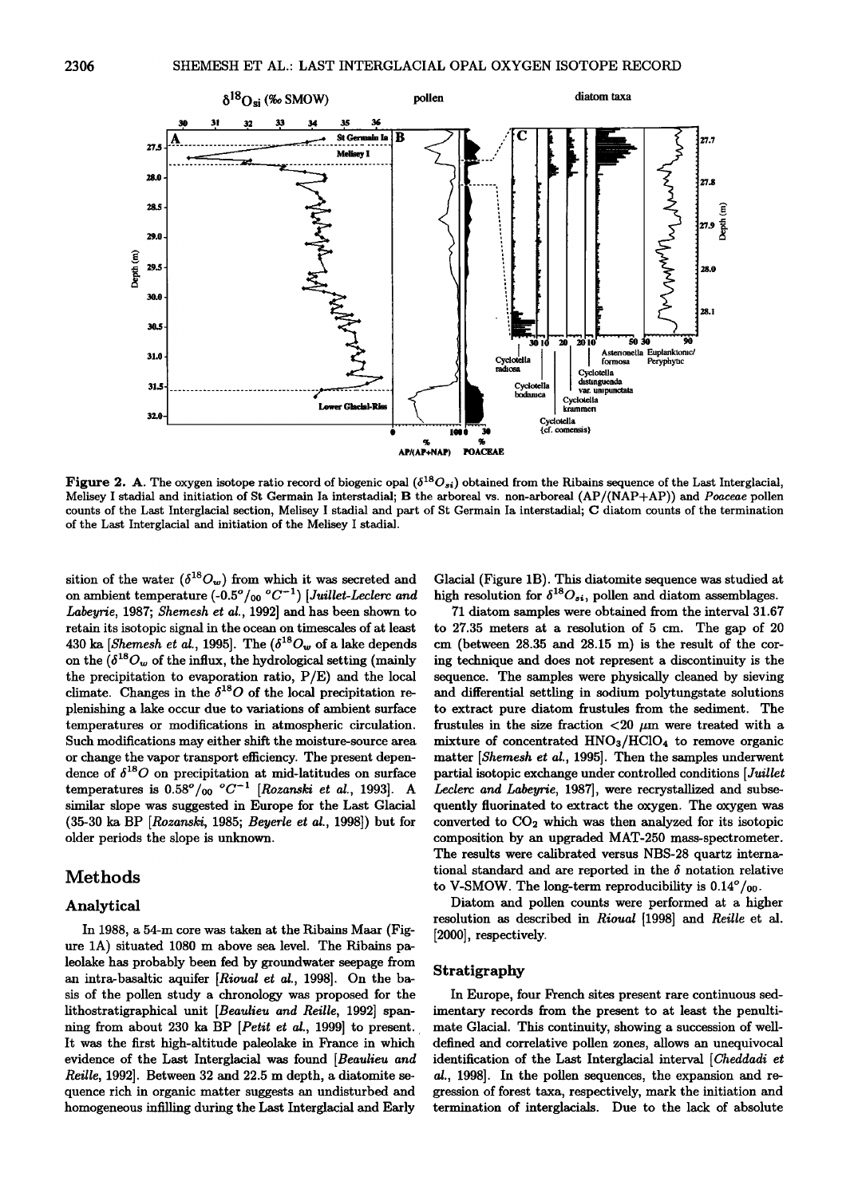

**Figure 2. A.** The oxygen isotope ratio record of biogenic opal ( $\delta^{18}O_{si}$ ) obtained from the Ribains sequence of the Last Interglacial, Melisey I stadial and initiation of St Germain Ia interstadial; B the arboreal vs. non-arboreal (AP/(NAP+AP)) and Poaceae pollen counts of the Last Interglacial section, Melisey I stadial and part of St Germain Ia interstadial; C diatom counts of the termination of the Last Interglacial and initiation of the Melisey I stadial.

sition of the water  $(\delta^{18}O_w)$  from which it was secreted and on ambient temperature  $(-0.5^{\circ}/_{00} {}^{\circ}C^{-1})$  [Juillet-Leclerc and Labeyrie, 1987; Shemesh et al., 1992] and has been shown to retain its isotopic signal in the ocean on timescales of at least 430 ka [Shemesh et al., 1995]. The  $(\delta^{18}O_w$  of a lake depends on the  $(\delta^{18}O_w$  of the influx, the hydrological setting (mainly the precipitation to evaporation ratio,  $P/E$ ) and the local climate. Changes in the  $\delta^{18}O$  of the local precipitation replenishing a lake occur due to variations of ambient surface temperatures or modifications in atmospheric circulation. Such modifications may either shift the moisture-source area or change the vapor transport efficiency. The present dependence of  $\delta^{18}O$  on precipitation at mid-latitudes on surface temperatures is  $0.58^\circ/\overline{00}$  °C<sup>-1</sup> [Rozanski et al., 1993]. A similar slope was suggested in Europe for the Last Glacial (35-30 ka BP [Rozanski, 1985; Beyerle et al., 1998]) but for older periods the slope is unknown.

# **Methods**

#### Analytical

In 1988, a 54-m core was taken at the Ribains Maar (Figure 1A) situated 1080 m above sea level. The Ribains paleolake has probably been fed by groundwater seepage from an intra-basaltic aquifer [Rioual et al., 1998]. On the basis of the pollen study a chronology was proposed for the lithostratigraphical unit [Beaulieu and Reille, 1992] spanning from about 230 ka BP [Petit et al., 1999] to present. It was the first high-altitude paleolake in France in which evidence of the Last Interglacial was found [Beaulieu and Reille, 1992]. Between 32 and 22.5 m depth, a diatomite sequence rich in organic matter suggests an undisturbed and homogeneous infilling during the Last Interglacial and Early

Glacial (Figure 1B). This diatomite sequence was studied at high resolution for  $\delta^{18}O_{si}$ , pollen and diatom assemblages.

71 diatom samples were obtained from the interval 31.67 to 27.35 meters at a resolution of 5 cm. The gap of 20 cm (between 28.35 and 28.15 m) is the result of the coring technique and does not represent a discontinuity is the sequence. The samples were physically cleaned by sieving and differential settling in sodium polytungstate solutions to extract pure diatom frustules from the sediment. The frustules in the size fraction <20  $\mu$ m were treated with a mixture of concentrated HNO<sub>3</sub>/HClO<sub>4</sub> to remove organic matter [Shemesh et al., 1995]. Then the samples underwent partial isotopic exchange under controlled conditions [Juillet Leclerc and Labeyrie, 1987], were recrystallized and subsequently fluorinated to extract the oxygen. The oxygen was converted to  $CO<sub>2</sub>$  which was then analyzed for its isotopic composition by an upgraded MAT-250 mass-spectrometer. The results were calibrated versus NBS-28 quartz international standard and are reported in the  $\delta$  notation relative to V-SMOW. The long-term reproducibility is  $0.14^{\circ}/_{00}$ .

Diatom and pollen counts were performed at a higher resolution as described in Rioual [1998] and Reille et al. [2000], respectively.

### **Stratigraphy**

In Europe, four French sites present rare continuous sedimentary records from the present to at least the penultimate Glacial. This continuity, showing a succession of welldefined and correlative pollen zones, allows an unequivocal identification of the Last Interglacial interval [Cheddadi et al., 1998]. In the pollen sequences, the expansion and regression of forest taxa, respectively, mark the initiation and termination of interglacials. Due to the lack of absolute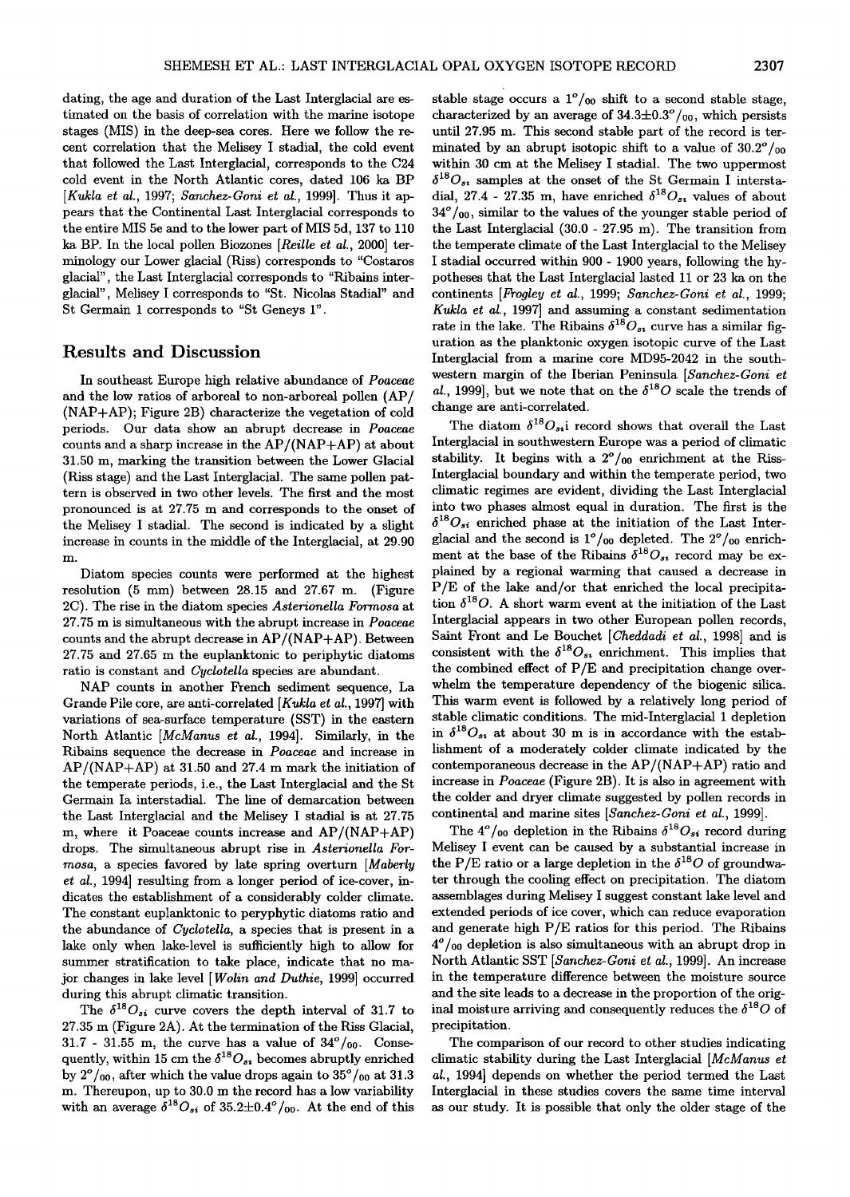**dating, the age and duration of the Last Interglacial are estimated on the basis of correlation with the marine isotope stages (MIS) in the deep-sea cores. Here we follow the recent correlation that the Melisey I stadial, the cold event that followed the Last Interglacial, corresponds to the C24 cold event in the North Atlantic cores, dated 106 ka BP**  [Kukla et al., 1997; Sanchez-Goni et al., 1999]. Thus it ap**pears that the Continental Last Interglacial corresponds to the entire MIS 5e and to the lower part of MIS 5d, 137 to 110 ka BP. In the local pollen Biozones [Reille et al., 2000] terminology our Lower glacial (Riss) corresponds to "Costaros glacial", the Last Interglacial corresponds to "Ribains interglacial", Melisey I corresponds to "St. Nicolas Stadial" and St Germain I corresponds to "St Geneys 1".** 

## **Results and Discussion**

**In southeast Europe high relative abundance of Poaceae and the low ratios of arboreal to non-arboreal pollen (AP/ (NAP+AP); Figure 2B) characterize the vegetation of cold periods. Our data show an abrupt decrease in Poaceae counts and a sharp increase in the AP/(NAP+AP) at about 31.50 m, marking the transition between the Lower Glacial (Riss stage) and the Last Interglacial. The same pollen pattern is observed in two other levels. The first and the most pronounced is at 27.75 m and corresponds to the onset of the Melisey I stadial. The second is indicated by a slight increase in counts in the middle of the Interglacial, at 29.90 m.** 

**Diatom species counts were performed at the highest resolution (5 mm) between 28.15 and 27.67 m. (Figure 2C). The rise in the diatom species Asterionella Formosa at 27.75 m is simultaneous with the abrupt increase in Poaceae counts and the abrupt decrease in AP/(NAP+AP). Between 27.75 and 27.65 m the euplanktonic to periphytic diatoms ratio is constant and Cyclotella species are abundant.** 

**NAP counts in another French sediment sequence, La Grande Pile core, are anti-correlated [Kukla et al., 1997] with variations of sea-surface temperature (SST) in the eastern North Atlantic [McManus et al., 1994]. Similarly, in the Ribains sequence the decrease in Poaceae and increase in AP/(NAP+AP) at 31.50 and 27.4 m mark the initiation of the temperate periods, i.e., the Last Interglacial and the St Germain Ia interstadial. The line of demarcation between the Last Interglacial and the Melisey I stadial is at 27.75 m, where it Poaceae counts increase and AP/(NAP+AP) drops. The simultaneous abrupt rise in Asterionella Formosa, a species favored by late spring overturn [Maberly et al., 1994] resulting from a longer period of ice-cover, indicates the establishment of a considerably colder climate. The constant euplanktonic to peryphytic diatoms ratio and the abundance of Cyclotella, a species that is present in a lake only when lake-level is sufficiently high to allow for summer stratification to take place, indicate that no major changes in lake level [Wolin and Duthie, 1999] occurred during this abrupt climatic transition.** 

The  $\delta^{18}O_{si}$  curve covers the depth interval of 31.7 to **27.35 m (Figure 2A). At the termination of the Riss Glacial,**  31.7 - 31.55 m, the curve has a value of  $34^\circ/\mathfrak{g}_0$ . Consequently, within 15 cm the  $\delta^{18}O_{ss}$  becomes abruptly enriched by  $2^{\circ}/_{00}$ , after which the value drops again to  $35^{\circ}/_{00}$  at 31.3 **m. Thereupon, up to 30.0 m the record has a low variability**  with an average  $\delta^{18}O_{si}$  of  $35.2\pm0.4^{\circ}/_{00}$ . At the end of this

stable stage occurs a  $1^{\circ}/_{00}$  shift to a second stable stage, characterized by an average of  $34.3\pm0.3^{\circ}/_{00}$ , which persists **until 27.95 m. This second stable part of the record is terminated by an abrupt isotopic shift to a value of 30.2ø/oo within 30 cm at the Melisey I stadial. The two uppermost**   $\delta^{18}O_{s_1}$  samples at the onset of the St Germain I interstadial, 27.4 - 27.35 m, have enriched  $\delta^{18}O_{s}$ , values of about **34 ø/00, similar to the values of the younger stable period of the Last Interglacial (30.0- 27.95 m). The transition from the temperate climate of the Last Interglacial to the Melisey I stadial occurred within 900 - 1900 years, following the hypotheses that the Last Interglacial lasted 11 or 23 ka on the continents [Frogley et al., 1999; Sanchez-Goni et al., 1999; Kukla et al., 1997] and assuming a constant sedimentation**  rate in the lake. The Ribains  $\delta^{18}O_{st}$  curve has a similar fig**uration as the planktonic oxygen isotopic curve of the Last Interglacial from a marine core MD95-2042 in the southwestern margin of the Iberian Peninsula [Sanchez-Goni et**  al., 1999], but we note that on the  $\delta^{18}O$  scale the trends of **change are anti-correlated.** 

The diatom  $\delta^{18}O_{s_1}$  record shows that overall the Last **Interglacial in southwestern Europe was a period of climatic**  stability. It begins with a  $2^o/_{00}$  enrichment at the Riss-**Interglacial boundary and within the temperate period, two climatic regimes are evident, dividing the Last Interglacial into two phases almost equal in duration. The first is the**   $\delta^{18}O_{si}$  enriched phase at the initiation of the Last Interglacial and the second is  $1^{\circ}/_{00}$  depleted. The  $2^{\circ}/_{00}$  enrichment at the base of the Ribains  $\delta^{18}O_{st}$  record may be ex**plained by a regional warming that caused a decrease in P/E of the lake and/or that enriched the local precipita**tion  $\delta^{18}O$ . A short warm event at the initiation of the Last **Interglacial appears in two other European pollen records, Saint Front and Le Boucher [Cheddadi et al., 1998] and is**  consistent with the  $\delta^{18}O_{s_1}$  enrichment. This implies that **the combined effect of P/E and precipitation change overwhelm the temperature dependency of the biogenic silica. This warm event is followed by a relatively long period of stable climatic conditions. The mid-Interglacial I depletion**  in  $\delta^{18}O_{s_1}$  at about 30 m is in accordance with the estab**lishment of a moderately colder climate indicated by the contemporaneous decrease in the AP/(NAP+AP) ratio and increase in Poaceae (Figure 2B). It is also in agreement with the colder and dryer climate suggested by pollen records in continental and marine sites [Sanchez-Goni et al., 1999].** 

The  $4^o/_{00}$  depletion in the Ribains  $\delta^{18}O_{si}$  record during **Melisey I event can be caused by a substantial increase in**  the P/E ratio or a large depletion in the  $\delta^{18}O$  of groundwa**ter through the cooling effect on precipitation. The diatom assemblages during Melisey I suggest constant lake level and extended periods of ice cover, which can reduce evaporation and generate high P/E ratios for this period. The Ribains 4ø/oo depletion is also simultaneous with an abrupt drop in North Atlantic SST [Sanchez-Goni et al., 1999]. An increase in the temperature difference between the moisture source and the site leads to a decrease in the proportion of the orig**inal moisture arriving and consequently reduces the  $\delta^{18}O$  of **precipitation.** 

**The comparison of our record to other studies indicating climatic stability during the Last Interglacial [McManus et al., 1994] depends on whether the period termed the Last Interglacial in these studies covers the same time interval as our study. It is possible that only the older stage of the**